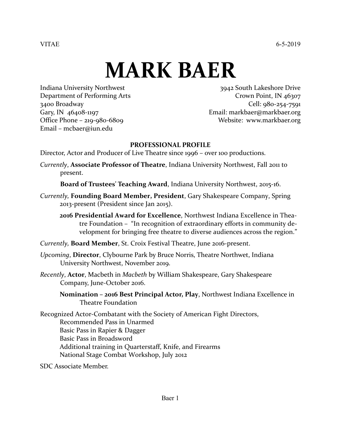VITAE 6-5-2019

# **MARK BAER**

Email – mcbaer@iun.edu

Indiana University Northwest 3942 South Lakeshore Drive Department of Performing Arts Crown Point, IN 46307 3400 Broadway Cell: 980-254-7591 Gary, IN 46408-1197 **Email: [markbaer@markbaer.org](mailto:markbaer@markbaer.org)** Office Phone – 219-980-6809 Website: [www.markbaer.org](http://www.markbaer.org/)

#### **PROFESSIONAL PROFILE**

Director, Actor and Producer of Live Theatre since 1996 – over 100 productions.

*Currently*, **Associate Professor of Theatre**, Indiana University Northwest, Fall 2011 to present.

**Board of Trustees' Teaching Award**, Indiana University Northwest, 2015-16.

- *Currently,* **Founding Board Member, President**, Gary Shakespeare Company, Spring 2013-present (President since Jan 2015).
	- **2016 Presidential Award for Excellence**, Northwest Indiana Excellence in Theatre Foundation – "In recognition of extraordinary efforts in community development for bringing free theatre to diverse audiences across the region."

*Currently,* **Board Member**, St. Croix Festival Theatre, June 2016-present.

- *Upcoming*, **Director**, Clybourne Park by Bruce Norris, Theatre Northwet, Indiana University Northwest, November 2019.
- *Recently*, **Actor**, Macbeth in *Macbeth* by William Shakespeare, Gary Shakespeare Company, June-October 2016.

**Nomination – 2016 Best Principal Actor, Play**, Northwest Indiana Excellence in Theatre Foundation

Recognized Actor-Combatant with the Society of American Fight Directors, Recommended Pass in Unarmed Basic Pass in Rapier & Dagger Basic Pass in Broadsword Additional training in Quarterstaff, Knife, and Firearms National Stage Combat Workshop, July 2012

SDC Associate Member.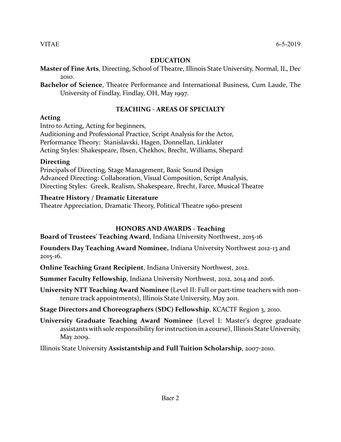#### **EDUCATION**

- **Master of Fine Arts**, Directing, School of Theatre, Illinois State University, Normal, IL, Dec 2010.
- **Bachelor of Science**, Theatre Performance and International Business, Cum Laude, The University of Findlay, Findlay, OH, May 1997.

# **TEACHING - AREAS OF SPECIALTY**

#### **Acting**

Intro to Acting, Acting for beginners,

Auditioning and Professional Practice, Script Analysis for the Actor, Performance Theory: Stanislavski, Hagen, Donnellan, Linklater Acting Styles: Shakespeare, Ibsen, Chekhov, Brecht, Williams, Shepard

# **Directing**

Principals of Directing, Stage Management, Basic Sound Design Advanced Directing: Collaboration, Visual Composition, Script Analysis, Directing Styles: Greek, Realism, Shakespeare, Brecht, Farce, Musical Theatre

# **Theatre History / Dramatic Literature**

Theatre Appreciation, Dramatic Theory, Political Theatre 1960-present

# **HONORS AND AWARDS - Teaching**

**Board of Trustees' Teaching Award**, Indiana University Northwest, 2015-16

**Founders Day Teaching Award Nominee,** Indiana University Northwest 2012-13 and 2015-16.

**Online Teaching Grant Recipient**, Indiana University Northwest, 2012.

**Summer Faculty Fellowship**, Indiana University Northwest, 2012, 2014 and 2016.

**University NTT Teaching Award Nominee** (Level II: Full or part-time teachers with nontenure track appointments), Illinois State University, May 2011.

**Stage Directors and Choreographers (SDC) Fellowship**, KCACTF Region 3, 2010.

**University Graduate Teaching Award Nominee** (Level I: Master's degree graduate assistants with sole responsibility for instruction in a course), Illinois State University, May 2009.

Illinois State University **Assistantship and Full Tuition Scholarship**, 2007-2010.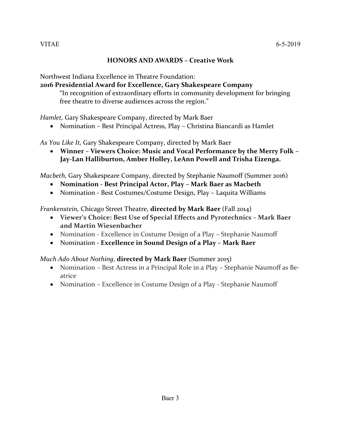#### **HONORS AND AWARDS – Creative Work**

Northwest Indiana Excellence in Theatre Foundation:

# **2016 Presidential Award for Excellence, Gary Shakespeare Company**

"In recognition of extraordinary efforts in community development for bringing free theatre to diverse audiences across the region."

*Hamlet,* Gary Shakespeare Company, directed by Mark Baer

• Nomination – Best Principal Actress, Play – Christina Biancardi as Hamlet

*As You Like It,* Gary Shakespeare Company, directed by Mark Baer

• **Winner – Viewers Choice: Music and Vocal Performance by the Merry Folk – Jay-Lan Halliburton, Amber Holley, LeAnn Powell and Trisha Eizenga.**

*Macbeth,* Gary Shakespeare Company, directed by Stephanie Naumoff (Summer 2016)

- **Nomination - Best Principal Actor, Play – Mark Baer as Macbeth**
- Nomination Best Costumes/Costume Design, Play Laquita Williams

*Frankenstein,* Chicago Street Theatre, **directed by Mark Baer** (Fall 2014)

- **Viewer's Choice: Best Use of Special Effects and Pyrotechnics – Mark Baer and Martin Wiesenbacher**
- Nomination Excellence in Costume Design of a Play Stephanie Naumoff
- Nomination **- Excellence in Sound Design of a Play – Mark Baer**

# *Much Ado About Nothing*, **directed by Mark Baer** (Summer 2015)

- Nomination Best Actress in a Principal Role in a Play Stephanie Naumoff as Beatrice
- Nomination Excellence in Costume Design of a Play Stephanie Naumoff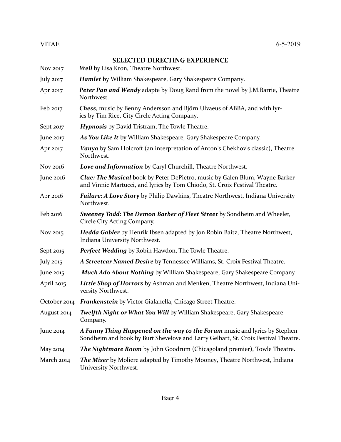#### **SELECTED DIRECTING EXPERIENCE**

- Nov 2017 *Well* by Lisa Kron, Theatre Northwest.
- July 2017 *Hamlet* by William Shakespeare, Gary Shakespeare Company.
- Apr 2017 *Peter Pan and Wendy* adapte by Doug Rand from the novel by J.M.Barrie, Theatre Northwest.
- Feb 2017 *Chess*, music by Benny Andersson and Björn Ulvaeus of ABBA, and with lyrics by Tim Rice, City Circle Acting Company.
- Sept *2017 Hypnosis* by David Tristram, The Towle Theatre.
- June 2017 *As You Like It* by William Shakespeare, Gary Shakespeare Company.
- Apr 2017 *Vanya* by Sam Holcroft (an interpretation of Anton's Chekhov's classic), Theatre Northwest.
- Nov 2016 *Love and Information* by Caryl Churchill, Theatre Northwest.
- June 2016 *Clue: The Musical* book by Peter DePietro, music by Galen Blum, Wayne Barker and Vinnie Martucci, and lyrics by Tom Chiodo, St. Croix Festival Theatre.
- Apr 2016 *Failure: A Love Story* by Philip Dawkins, Theatre Northwest, Indiana University Northwest.
- Feb 2016 *Sweeney Todd: The Demon Barber of Fleet Street* by Sondheim and Wheeler, Circle City Acting Company.
- Nov 2015 *Hedda Gabler* by Henrik Ibsen adapted by Jon Robin Baitz, Theatre Northwest, Indiana University Northwest.
- Sept 2015 *Perfect Wedding* by Robin Hawdon, The Towle Theatre.
- July 2015 *A Streetcar Named Desire* by Tennessee Williams, St. Croix Festival Theatre.
- June 2015 *Much Ado About Nothing* by William Shakespeare, Gary Shakespeare Company.
- April 2015 *Little Shop of Horrors* by Ashman and Menken, Theatre Northwest, Indiana University Northwest.
- October 2014 *Frankenstein* by Victor Gialanella, Chicago Street Theatre.
- August 2014 *Twelfth Night or What You Will* by William Shakespeare, Gary Shakespeare Company.
- June 2014 *A Funny Thing Happened on the way to the Forum* music and lyrics by Stephen Sondheim and book by Burt Shevelove and Larry Gelbart, St. Croix Festival Theatre.
- May 2014 *The Nightmare Room* by John Goodrum (Chicagoland premier), Towle Theatre.
- March 2014 *The Miser* by Moliere adapted by Timothy Mooney, Theatre Northwest, Indiana University Northwest.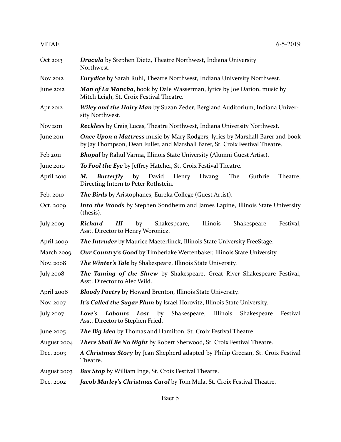| Oct 2013        | <b>Dracula</b> by Stephen Dietz, Theatre Northwest, Indiana University<br>Northwest.                                                                                  |
|-----------------|-----------------------------------------------------------------------------------------------------------------------------------------------------------------------|
| Nov 2012        | <b>Eurydice</b> by Sarah Ruhl, Theatre Northwest, Indiana University Northwest.                                                                                       |
| June 2012       | Man of La Mancha, book by Dale Wasserman, lyrics by Joe Darion, music by<br>Mitch Leigh, St. Croix Festival Theatre.                                                  |
| Apr 2012        | <b>Wiley and the Hairy Man</b> by Suzan Zeder, Bergland Auditorium, Indiana Univer-<br>sity Northwest.                                                                |
| <b>Nov 2011</b> | <b>Reckless</b> by Craig Lucas, Theatre Northwest, Indiana University Northwest.                                                                                      |
| June 2011       | <b>Once Upon a Mattress music by Mary Rodgers, lyrics by Marshall Barer and book</b><br>by Jay Thompson, Dean Fuller, and Marshall Barer, St. Croix Festival Theatre. |
| Feb 2011        | <b>Bhopal</b> by Rahul Varma, Illinois State University (Alumni Guest Artist).                                                                                        |
| June 2010       | To Fool the Eye by Jeffrey Hatcher, St. Croix Festival Theatre.                                                                                                       |
| April 2010      | by<br>David<br>Henry<br>The<br>Guthrie<br>М.<br><b>Butterfly</b><br>Hwang,<br>Theatre,<br>Directing Intern to Peter Rothstein.                                        |
| Feb. 2010       | The Birds by Aristophanes, Eureka College (Guest Artist).                                                                                                             |
| Oct. 2009       | <b>Into the Woods</b> by Stephen Sondheim and James Lapine, Illinois State University<br>(thesis).                                                                    |
| July 2009       | <b>Richard</b><br>Ш<br>Shakespeare,<br>Illinois<br>Festival,<br>by<br>Shakespeare<br>Asst. Director to Henry Woronicz.                                                |
| April 2009      | <b>The Intruder</b> by Maurice Maeterlinck, Illinois State University FreeStage.                                                                                      |
| March 2009      | Our Country's Good by Timberlake Wertenbaker, Illinois State University.                                                                                              |
| Nov. 2008       | <b>The Winter's Tale</b> by Shakespeare, Illinois State University.                                                                                                   |
| July 2008       | <b>The Taming of the Shrew</b> by Shakespeare, Great River Shakespeare Festival,<br>Asst. Director to Alec Wild.                                                      |
| April 2008      | <b>Bloody Poetry</b> by Howard Brenton, Illinois State University.                                                                                                    |
| Nov. 2007       | It's Called the Sugar Plum by Israel Horovitz, Illinois State University.                                                                                             |
| July 2007       | Shakespeare,<br>Labours<br>Illinois<br>Festival<br>Love's<br>Lost<br>by<br>Shakespeare<br>Asst. Director to Stephen Fried.                                            |
| June 2005       | The Big Idea by Thomas and Hamilton, St. Croix Festival Theatre.                                                                                                      |
| August 2004     | There Shall Be No Night by Robert Sherwood, St. Croix Festival Theatre.                                                                                               |
| Dec. 2003       | A Christmas Story by Jean Shepherd adapted by Philip Grecian, St. Croix Festival<br>Theatre.                                                                          |
| August 2003     | <b>Bus Stop</b> by William Inge, St. Croix Festival Theatre.                                                                                                          |
| Dec. 2002       | Jacob Marley's Christmas Carol by Tom Mula, St. Croix Festival Theatre.                                                                                               |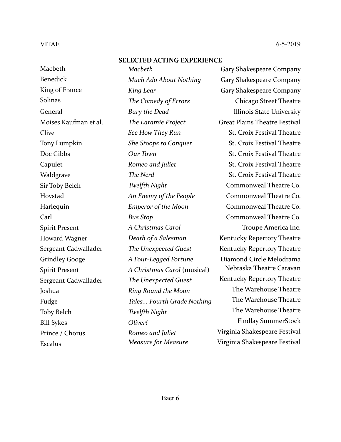#### **SELECTED ACTING EXPERIENCE**

**Macheth** Benedick King of France Solinas General Moises Kaufman et al. Clive Tony Lumpkin Doc Gibbs Capulet Waldgrave Sir Toby Belch Hovstad **Harlequin** Carl Spirit Present Howard Wagner Sergeant Cadwallader Grindley Googe Spirit Present Sergeant Cadwallader Joshua Fudge Toby Belch Bill Sykes Prince / Chorus Escalus

*Macbeth Much Ado About Nothing King Lear The Comedy of Errors Bury the Dead The Laramie Project See How They Run She Stoops to Conquer Our Town Romeo and Juliet The Nerd Twelfth Night An Enemy of the People Emperor of the Moon Bus Stop A Christmas Carol Death of a Salesman The Unexpected Guest A Four-Legged Fortune A Christmas Carol* (musical) *The Unexpected Guest Ring Round the Moon Tales... Fourth Grade Nothing Twelfth Night Oliver! Romeo and Juliet Measure for Measure*

Gary Shakespeare Company Gary Shakespeare Company Gary Shakespeare Company Chicago Street Theatre Illinois State University Great Plains Theatre Festival St. Croix Festival Theatre St. Croix Festival Theatre St. Croix Festival Theatre St. Croix Festival Theatre St. Croix Festival Theatre Commonweal Theatre Co. Commonweal Theatre Co. Commonweal Theatre Co. Commonweal Theatre Co. Troupe America Inc. Kentucky Repertory Theatre Kentucky Repertory Theatre Diamond Circle Melodrama Nebraska Theatre Caravan Kentucky Repertory Theatre The Warehouse Theatre The Warehouse Theatre The Warehouse Theatre Findlay SummerStock Virginia Shakespeare Festival Virginia Shakespeare Festival